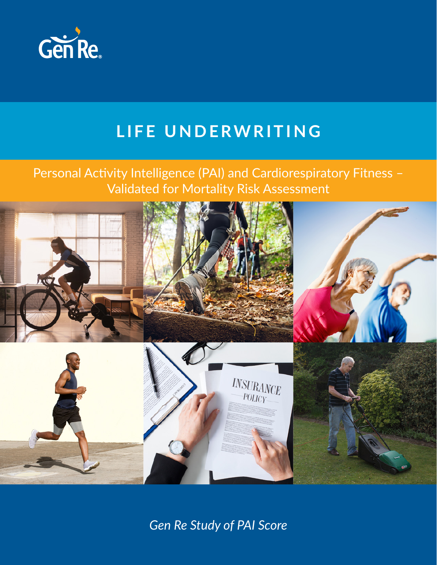

# **LIFE UNDERWRITING**

# Personal Activity Intelligence (PAI) and Cardiorespiratory Fitness – Validated for Mortality Risk Assessment



*Gen Re Study of PAI Score*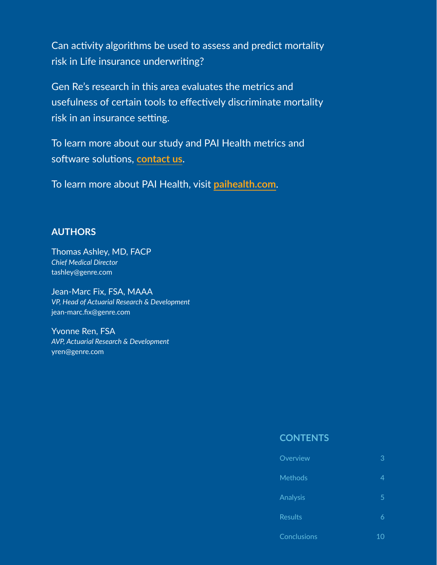Can activity algorithms be used to assess and predict mortality risk in Life insurance underwriting?

Gen Re's research in this area evaluates the metrics and usefulness of certain tools to effectively discriminate mortality risk in an insurance setting.

To learn more about our study and PAI Health metrics and software solutions, **[contact u](https://knowledge.genre.com/gen-re-life-health-marketing-team)s**.

To learn more about PAI Health, visit **[paihealth.com](https://www.paihealth.com/)**.

## **AUTHORS**

Thomas Ashley, MD, FACP *Chief Medical Director*  tashley@genre.com

Jean-Marc Fix, FSA, MAAA *VP, Head of Actuarial Research & Development*  jean-marc.fix@genre.com

Yvonne Ren, FSA *AVP, Actuarial Research & Development* yren@genre.com

### **CONTENTS**

| Overview    | 3 |
|-------------|---|
| Methods     | 4 |
| Analysis    | 5 |
| Results     | 6 |
| Conclusions |   |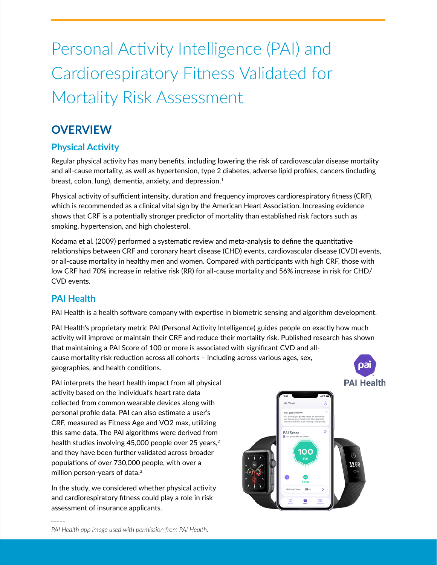# Personal Activity Intelligence (PAI) and Cardiorespiratory Fitness Validated for Mortality Risk Assessment

# **OVERVIEW**

# **Physical Activity**

Regular physical activity has many benefits, including lowering the risk of cardiovascular disease mortality and all-cause mortality, as well as hypertension, type 2 diabetes, adverse lipid profiles, cancers (including breast, colon, lung), dementia, anxiety, and depression.<sup>1</sup>

Physical activity of sufficient intensity, duration and frequency improves cardiorespiratory fitness (CRF), which is recommended as a clinical vital sign by the American Heart Association. Increasing evidence shows that CRF is a potentially stronger predictor of mortality than established risk factors such as smoking, hypertension, and high cholesterol.

Kodama et al. (2009) performed a systematic review and meta-analysis to define the quantitative relationships between CRF and coronary heart disease (CHD) events, cardiovascular disease (CVD) events, or all-cause mortality in healthy men and women. Compared with participants with high CRF, those with low CRF had 70% increase in relative risk (RR) for all-cause mortality and 56% increase in risk for CHD/ CVD events.

# **PAI Health**

*\_\_\_\_\_*

PAI Health is a health software company with expertise in biometric sensing and algorithm development.

PAI Health's proprietary metric PAI (Personal Activity Intelligence) guides people on exactly how much activity will improve or maintain their CRF and reduce their mortality risk. Published research has shown that maintaining a PAI Score of 100 or more is associated with significant CVD and allcause mortality risk reduction across all cohorts – including across various ages, sex, oa geographies, and health conditions.



PAI interprets the heart health impact from all physical activity based on the individual's heart rate data collected from common wearable devices along with personal profile data. PAI can also estimate a user's CRF, measured as Fitness Age and VO2 max, utilizing this same data. The PAI algorithms were derived from health studies involving 45,000 people over 25 years,<sup>2</sup> and they have been further validated across broader populations of over 730,000 people, with over a million person-years of data.3

In the study, we considered whether physical activity and cardiorespiratory fitness could play a role in risk assessment of insurance applicants.

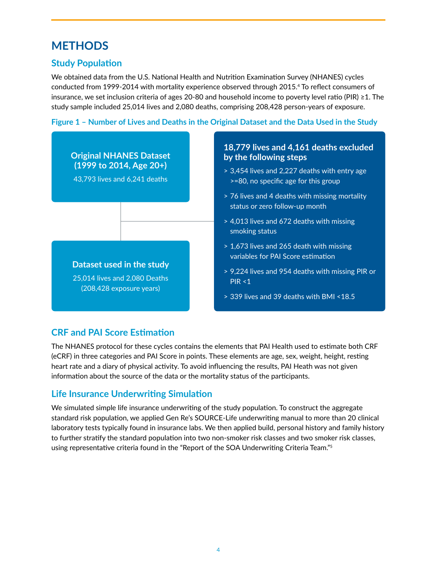# **METHODS**

# **Study Population**

We obtained data from the U.S. National Health and Nutrition Examination Survey (NHANES) cycles conducted from 1999-2014 with mortality experience observed through 2015.4 To reflect consumers of insurance, we set inclusion criteria of ages 20-80 and household income to poverty level ratio (PIR) ≥1. The study sample included 25,014 lives and 2,080 deaths, comprising 208,428 person-years of exposure.

**Figure 1 – Number of Lives and Deaths in the Original Dataset and the Data Used in the Study**



## **CRF and PAI Score Estimation**

The NHANES protocol for these cycles contains the elements that PAI Health used to estimate both CRF (eCRF) in three categories and PAI Score in points. These elements are age, sex, weight, height, resting heart rate and a diary of physical activity. To avoid influencing the results, PAI Heath was not given information about the source of the data or the mortality status of the participants.

## **Life Insurance Underwriting Simulation**

We simulated simple life insurance underwriting of the study population. To construct the aggregate standard risk population, we applied Gen Re's SOURCE-Life underwriting manual to more than 20 clinical laboratory tests typically found in insurance labs. We then applied build, personal history and family history to further stratify the standard population into two non-smoker risk classes and two smoker risk classes, using representative criteria found in the "Report of the SOA Underwriting Criteria Team."5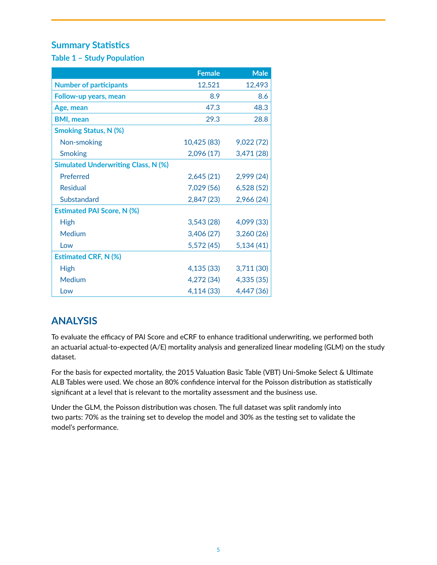## **Summary Statistics**

**Table 1 – Study Population**

|                                            | <b>Female</b> | <b>Male</b> |
|--------------------------------------------|---------------|-------------|
| <b>Number of participants</b>              | 12,521        | 12,493      |
| Follow-up years, mean                      | 8.9           | 8.6         |
| Age, mean                                  | 47.3          | 48.3        |
| <b>BMI, mean</b>                           | 29.3          | 28.8        |
| <b>Smoking Status, N (%)</b>               |               |             |
| Non-smoking                                | 10,425 (83)   | 9,022 (72)  |
| <b>Smoking</b>                             | 2,096(17)     | 3,471 (28)  |
| <b>Simulated Underwriting Class, N (%)</b> |               |             |
| Preferred                                  | 2,645(21)     | 2,999(24)   |
| <b>Residual</b>                            | 7,029 (56)    | 6,528(52)   |
| Substandard                                | 2,847 (23)    | 2,966 (24)  |
| <b>Estimated PAI Score, N (%)</b>          |               |             |
| <b>High</b>                                | 3,543(28)     | 4,099 (33)  |
| Medium                                     | 3,406(27)     | 3,260(26)   |
| Low                                        | 5,572(45)     | 5,134(41)   |
| <b>Estimated CRF, N (%)</b>                |               |             |
| <b>High</b>                                | 4,135 (33)    | 3,711 (30)  |
| Medium                                     | 4,272 (34)    | 4,335 (35)  |
| Low                                        | 4,114 (33)    | 4,447 (36)  |

# **ANALYSIS**

To evaluate the efficacy of PAI Score and eCRF to enhance traditional underwriting, we performed both an actuarial actual-to-expected (A/E) mortality analysis and generalized linear modeling (GLM) on the study dataset.

For the basis for expected mortality, the 2015 Valuation Basic Table (VBT) Uni-Smoke Select & Ultimate ALB Tables were used. We chose an 80% confidence interval for the Poisson distribution as statistically significant at a level that is relevant to the mortality assessment and the business use.

Under the GLM, the Poisson distribution was chosen. The full dataset was split randomly into two parts: 70% as the training set to develop the model and 30% as the testing set to validate the model's performance.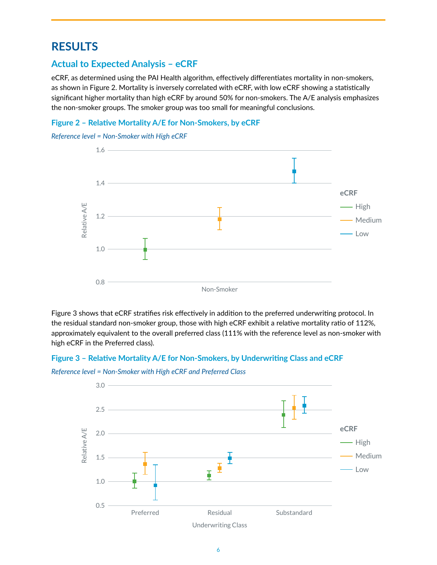# **RESULTS**

## **Actual to Expected Analysis – eCRF**

eCRF, as determined using the PAI Health algorithm, effectively differentiates mortality in non-smokers, as shown in Figure 2. Mortality is inversely correlated with eCRF, with low eCRF showing a statistically significant higher mortality than high eCRF by around 50% for non-smokers. The A/E analysis emphasizes the non-smoker groups. The smoker group was too small for meaningful conclusions.

#### **Figure 2 – Relative Mortality A/E for Non-Smokers, by eCRF**

*Reference level = Non-Smoker with High eCRF*



Figure 3 shows that eCRF stratifies risk effectively in addition to the preferred underwriting protocol. In the residual standard non-smoker group, those with high eCRF exhibit a relative mortality ratio of 112%, approximately equivalent to the overall preferred class (111% with the reference level as non-smoker with high eCRF in the Preferred class).

#### **Figure 3 – Relative Mortality A/E for Non-Smokers, by Underwriting Class and eCRF**

*Reference level = Non-Smoker with High eCRF and Preferred Class*

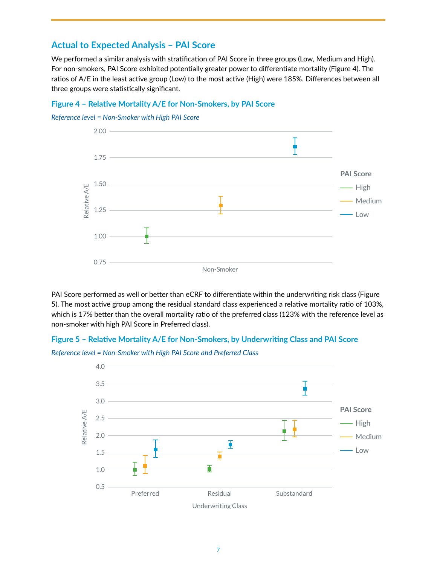#### **Actual to Expected Analysis – PAI Score**

We performed a similar analysis with stratification of PAI Score in three groups (Low, Medium and High). For non-smokers, PAI Score exhibited potentially greater power to differentiate mortality (Figure 4). The ratios of A/E in the least active group (Low) to the most active (High) were 185%. Differences between all three groups were statistically significant.

#### **Figure 4 – Relative Mortality A/E for Non-Smokers, by PAI Score**

*Reference level = Non-Smoker with High PAI Score*



PAI Score performed as well or better than eCRF to differentiate within the underwriting risk class (Figure 5). The most active group among the residual standard class experienced a relative mortality ratio of 103%, which is 17% better than the overall mortality ratio of the preferred class (123% with the reference level as non-smoker with high PAI Score in Preferred class).

#### **Figure 5 – Relative Mortality A/E for Non-Smokers, by Underwriting Class and PAI Score**

*Reference level = Non-Smoker with High PAI Score and Preferred Class*

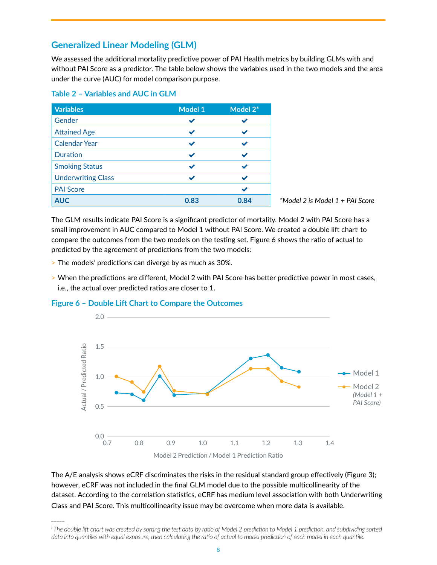#### **Generalized Linear Modeling (GLM)**

We assessed the additional mortality predictive power of PAI Health metrics by building GLMs with and without PAI Score as a predictor. The table below shows the variables used in the two models and the area under the curve (AUC) for model comparison purpose.

| <b>Variables</b>          | <b>Model 1</b> | Model 2* |
|---------------------------|----------------|----------|
| Gender                    |                |          |
| <b>Attained Age</b>       |                |          |
| <b>Calendar Year</b>      |                |          |
| <b>Duration</b>           | ✔              |          |
| <b>Smoking Status</b>     | ✔              |          |
| <b>Underwriting Class</b> |                |          |
| <b>PAI Score</b>          |                |          |
| <b>AUC</b>                | 0.83           | 0.84     |

#### **Table 2 – Variables and AUC in GLM**

*\*Model 2 is Model 1 + PAI Score*

The GLM results indicate PAI Score is a significant predictor of mortality. Model 2 with PAI Score has a small improvement in AUC compared to Model 1 without PAI Score. We created a double lift chart' to compare the outcomes from the two models on the testing set. Figure 6 shows the ratio of actual to predicted by the agreement of predictions from the two models:

- > The models' predictions can diverge by as much as 30%.
- > When the predictions are different, Model 2 with PAI Score has better predictive power in most cases, i.e., the actual over predicted ratios are closer to 1.

#### **Figure 6 – Double Lift Chart to Compare the Outcomes**

*\_\_\_\_\_*



The A/E analysis shows eCRF discriminates the risks in the residual standard group effectively (Figure 3); however, eCRF was not included in the final GLM model due to the possible multicollinearity of the dataset. According to the correlation statistics, eCRF has medium level association with both Underwriting Class and PAI Score. This multicollinearity issue may be overcome when more data is available.

*i The double lift chart was created by sorting the test data by ratio of Model 2 prediction to Model 1 prediction, and subdividing sorted data into quantiles with equal exposure, then calculating the ratio of actual to model prediction of each model in each quantile.*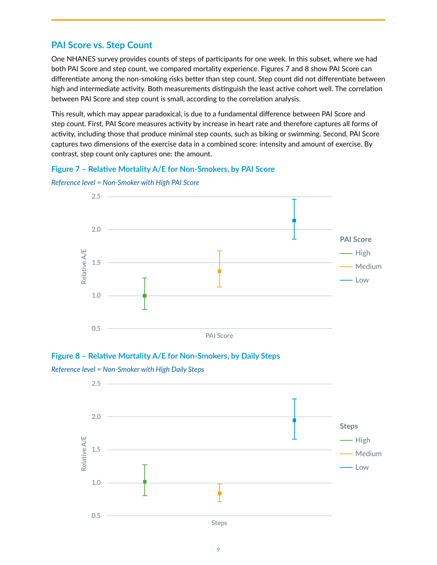## **PAI Score vs. Step Count**

One NHANES survey provides counts of steps of participants for one week. In this subset, where we had both PAI Score and step count, we compared mortality experience. Figures 7 and 8 show PAI Score can differentiate among the non-smoking risks better than step count. Step count did not differentiate between high and intermediate activity. Both measurements distinguish the least active cohort well. The correlation between PAI Score and step count is small, according to the correlation analysis.

This result, which may appear paradoxical, is due to a fundamental difference between PAI Score and step count. First, PAI Score measures activity by increase in heart rate and therefore captures all forms of activity, including those that produce minimal step counts, such as biking or swimming. Second, PAI Score captures two dimensions of the exercise data in a combined score: intensity and amount of exercise. By contrast, step count only captures one: the amount.

#### **Figure 7 – Relative Mortality A/E for Non-Smokers, by PAI Score**



*Reference level = Non-Smoker with High PAI Score*



*Reference level = Non-Smoker with High Daily Steps*

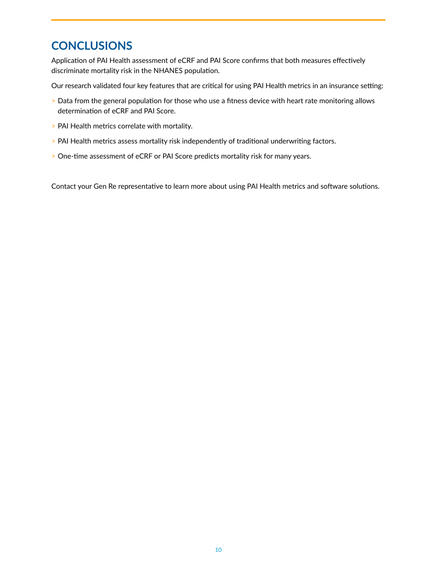# **CONCLUSIONS**

Application of PAI Health assessment of eCRF and PAI Score confirms that both measures effectively discriminate mortality risk in the NHANES population.

Our research validated four key features that are critical for using PAI Health metrics in an insurance setting:

- > Data from the general population for those who use a fitness device with heart rate monitoring allows determination of eCRF and PAI Score.
- > PAI Health metrics correlate with mortality.
- > PAI Health metrics assess mortality risk independently of traditional underwriting factors.
- > One-time assessment of eCRF or PAI Score predicts mortality risk for many years.

Contact your Gen Re representative to learn more about using PAI Health metrics and software solutions.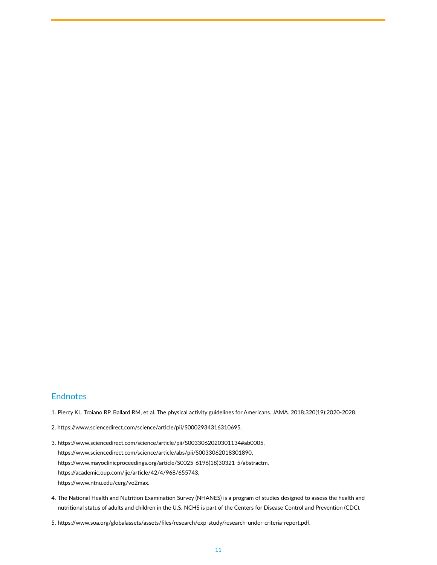#### **Endnotes**

- 1. Piercy KL, Troiano RP, Ballard RM, et al. The physical activity guidelines for Americans. JAMA. 2018;320(19):2020-2028.
- 2. https://www.sciencedirect.com/science/article/pii/S0002934316310695.
- 3. https://www.sciencedirect.com/science/article/pii/S0033062020301134#ab0005, https://www.sciencedirect.com/science/article/abs/pii/S0033062018301890, https://www.mayoclinicproceedings.org/article/S0025-6196(18)30321-5/abstractm, https://academic.oup.com/ije/article/42/4/968/655743, https://www.ntnu.edu/cerg/vo2max.
- 4. The National Health and Nutrition Examination Survey (NHANES) is a program of studies designed to assess the health and nutritional status of adults and children in the U.S. NCHS is part of the Centers for Disease Control and Prevention (CDC).
- 5. https://www.soa.org/globalassets/assets/files/research/exp-study/research-under-criteria-report.pdf.